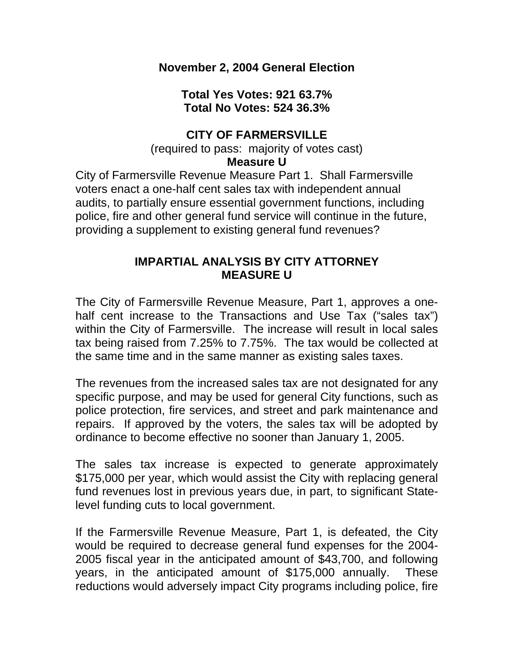**November 2, 2004 General Election** 

**Total Yes Votes: 921 63.7% Total No Votes: 524 36.3%** 

## **CITY OF FARMERSVILLE**

(required to pass: majority of votes cast)

## **Measure U**

City of Farmersville Revenue Measure Part 1. Shall Farmersville voters enact a one-half cent sales tax with independent annual audits, to partially ensure essential government functions, including police, fire and other general fund service will continue in the future, providing a supplement to existing general fund revenues?

## **IMPARTIAL ANALYSIS BY CITY ATTORNEY MEASURE U**

The City of Farmersville Revenue Measure, Part 1, approves a onehalf cent increase to the Transactions and Use Tax ("sales tax") within the City of Farmersville. The increase will result in local sales tax being raised from 7.25% to 7.75%. The tax would be collected at the same time and in the same manner as existing sales taxes.

The revenues from the increased sales tax are not designated for any specific purpose, and may be used for general City functions, such as police protection, fire services, and street and park maintenance and repairs. If approved by the voters, the sales tax will be adopted by ordinance to become effective no sooner than January 1, 2005.

The sales tax increase is expected to generate approximately \$175,000 per year, which would assist the City with replacing general fund revenues lost in previous years due, in part, to significant Statelevel funding cuts to local government.

If the Farmersville Revenue Measure, Part 1, is defeated, the City would be required to decrease general fund expenses for the 2004- 2005 fiscal year in the anticipated amount of \$43,700, and following years, in the anticipated amount of \$175,000 annually. These reductions would adversely impact City programs including police, fire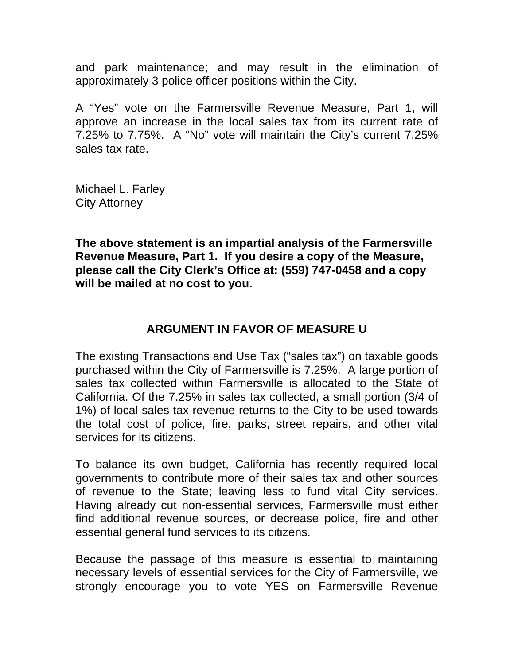and park maintenance; and may result in the elimination of approximately 3 police officer positions within the City.

A "Yes" vote on the Farmersville Revenue Measure, Part 1, will approve an increase in the local sales tax from its current rate of 7.25% to 7.75%. A "No" vote will maintain the City's current 7.25% sales tax rate.

Michael L. Farley City Attorney

**The above statement is an impartial analysis of the Farmersville Revenue Measure, Part 1. If you desire a copy of the Measure, please call the City Clerk's Office at: (559) 747-0458 and a copy will be mailed at no cost to you.** 

## **ARGUMENT IN FAVOR OF MEASURE U**

The existing Transactions and Use Tax ("sales tax") on taxable goods purchased within the City of Farmersville is 7.25%. A large portion of sales tax collected within Farmersville is allocated to the State of California. Of the 7.25% in sales tax collected, a small portion (3/4 of 1%) of local sales tax revenue returns to the City to be used towards the total cost of police, fire, parks, street repairs, and other vital services for its citizens.

To balance its own budget, California has recently required local governments to contribute more of their sales tax and other sources of revenue to the State; leaving less to fund vital City services. Having already cut non-essential services, Farmersville must either find additional revenue sources, or decrease police, fire and other essential general fund services to its citizens.

Because the passage of this measure is essential to maintaining necessary levels of essential services for the City of Farmersville, we strongly encourage you to vote YES on Farmersville Revenue